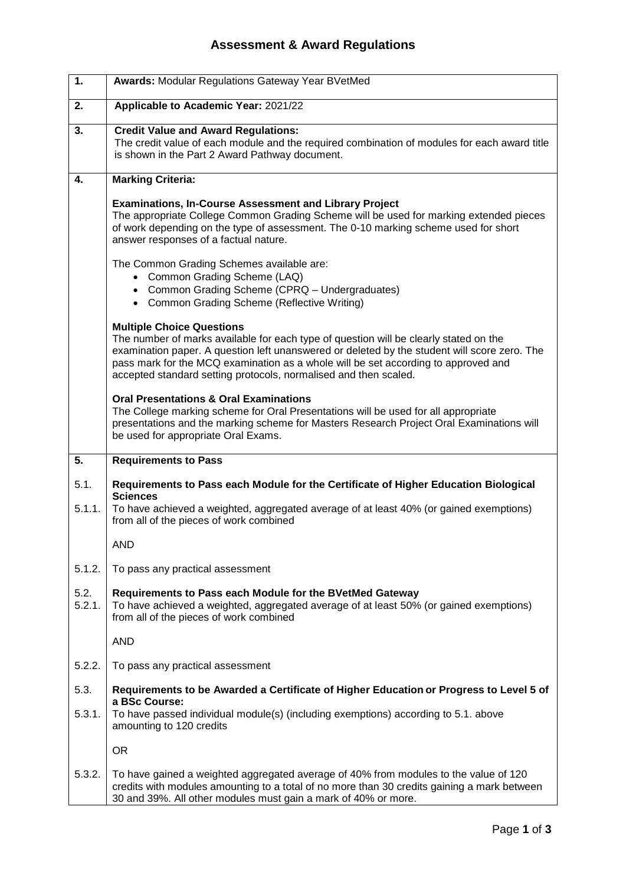## **Assessment & Award Regulations**

| 1.             | <b>Awards: Modular Regulations Gateway Year BVetMed</b>                                                                                                                                                                                                                                                                                                                             |
|----------------|-------------------------------------------------------------------------------------------------------------------------------------------------------------------------------------------------------------------------------------------------------------------------------------------------------------------------------------------------------------------------------------|
| 2.             | Applicable to Academic Year: 2021/22                                                                                                                                                                                                                                                                                                                                                |
| 3.             | <b>Credit Value and Award Regulations:</b><br>The credit value of each module and the required combination of modules for each award title<br>is shown in the Part 2 Award Pathway document.                                                                                                                                                                                        |
| 4.             | <b>Marking Criteria:</b>                                                                                                                                                                                                                                                                                                                                                            |
|                | <b>Examinations, In-Course Assessment and Library Project</b><br>The appropriate College Common Grading Scheme will be used for marking extended pieces<br>of work depending on the type of assessment. The 0-10 marking scheme used for short<br>answer responses of a factual nature.                                                                                             |
|                | The Common Grading Schemes available are:<br>• Common Grading Scheme (LAQ)<br>• Common Grading Scheme (CPRQ - Undergraduates)<br>• Common Grading Scheme (Reflective Writing)                                                                                                                                                                                                       |
|                | <b>Multiple Choice Questions</b><br>The number of marks available for each type of question will be clearly stated on the<br>examination paper. A question left unanswered or deleted by the student will score zero. The<br>pass mark for the MCQ examination as a whole will be set according to approved and<br>accepted standard setting protocols, normalised and then scaled. |
|                | <b>Oral Presentations &amp; Oral Examinations</b><br>The College marking scheme for Oral Presentations will be used for all appropriate<br>presentations and the marking scheme for Masters Research Project Oral Examinations will<br>be used for appropriate Oral Exams.                                                                                                          |
| 5.             | <b>Requirements to Pass</b>                                                                                                                                                                                                                                                                                                                                                         |
| 5.1.           | Requirements to Pass each Module for the Certificate of Higher Education Biological                                                                                                                                                                                                                                                                                                 |
| 5.1.1.         | <b>Sciences</b><br>To have achieved a weighted, aggregated average of at least 40% (or gained exemptions)<br>from all of the pieces of work combined                                                                                                                                                                                                                                |
|                | <b>AND</b>                                                                                                                                                                                                                                                                                                                                                                          |
| 5.1.2.         | To pass any practical assessment                                                                                                                                                                                                                                                                                                                                                    |
| 5.2.<br>5.2.1. | Requirements to Pass each Module for the BVetMed Gateway<br>To have achieved a weighted, aggregated average of at least 50% (or gained exemptions)<br>from all of the pieces of work combined                                                                                                                                                                                       |
|                | <b>AND</b>                                                                                                                                                                                                                                                                                                                                                                          |
| 5.2.2.         | To pass any practical assessment                                                                                                                                                                                                                                                                                                                                                    |
| 5.3.           | Requirements to be Awarded a Certificate of Higher Education or Progress to Level 5 of<br>a BSc Course:                                                                                                                                                                                                                                                                             |
| 5.3.1.         | To have passed individual module(s) (including exemptions) according to 5.1. above<br>amounting to 120 credits                                                                                                                                                                                                                                                                      |
|                | <b>OR</b>                                                                                                                                                                                                                                                                                                                                                                           |
| 5.3.2.         | To have gained a weighted aggregated average of 40% from modules to the value of 120<br>credits with modules amounting to a total of no more than 30 credits gaining a mark between<br>30 and 39%. All other modules must gain a mark of 40% or more.                                                                                                                               |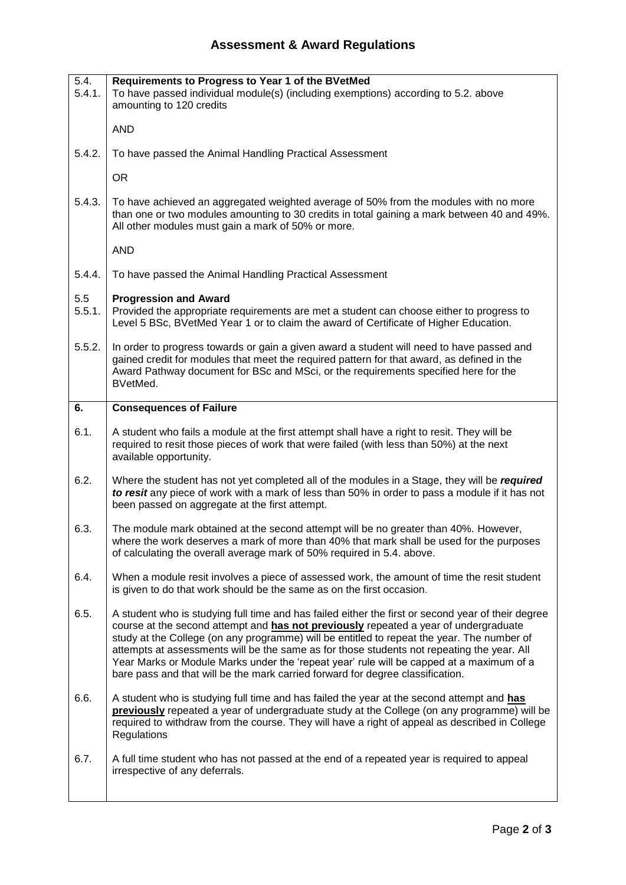## **Assessment & Award Regulations**

| 5.4.<br>5.4.1. | Requirements to Progress to Year 1 of the BVetMed<br>To have passed individual module(s) (including exemptions) according to 5.2. above<br>amounting to 120 credits                                                                                                                                                                                                                                                                                                                                                                                                  |
|----------------|----------------------------------------------------------------------------------------------------------------------------------------------------------------------------------------------------------------------------------------------------------------------------------------------------------------------------------------------------------------------------------------------------------------------------------------------------------------------------------------------------------------------------------------------------------------------|
|                | <b>AND</b>                                                                                                                                                                                                                                                                                                                                                                                                                                                                                                                                                           |
| 5.4.2.         | To have passed the Animal Handling Practical Assessment                                                                                                                                                                                                                                                                                                                                                                                                                                                                                                              |
|                | <b>OR</b>                                                                                                                                                                                                                                                                                                                                                                                                                                                                                                                                                            |
| 5.4.3.         | To have achieved an aggregated weighted average of 50% from the modules with no more<br>than one or two modules amounting to 30 credits in total gaining a mark between 40 and 49%.<br>All other modules must gain a mark of 50% or more.                                                                                                                                                                                                                                                                                                                            |
|                | <b>AND</b>                                                                                                                                                                                                                                                                                                                                                                                                                                                                                                                                                           |
| 5.4.4.         | To have passed the Animal Handling Practical Assessment                                                                                                                                                                                                                                                                                                                                                                                                                                                                                                              |
| 5.5<br>5.5.1.  | <b>Progression and Award</b><br>Provided the appropriate requirements are met a student can choose either to progress to<br>Level 5 BSc, BVetMed Year 1 or to claim the award of Certificate of Higher Education.                                                                                                                                                                                                                                                                                                                                                    |
| 5.5.2.         | In order to progress towards or gain a given award a student will need to have passed and<br>gained credit for modules that meet the required pattern for that award, as defined in the<br>Award Pathway document for BSc and MSci, or the requirements specified here for the<br>BVetMed.                                                                                                                                                                                                                                                                           |
| 6.             | <b>Consequences of Failure</b>                                                                                                                                                                                                                                                                                                                                                                                                                                                                                                                                       |
| 6.1.           | A student who fails a module at the first attempt shall have a right to resit. They will be<br>required to resit those pieces of work that were failed (with less than 50%) at the next<br>available opportunity.                                                                                                                                                                                                                                                                                                                                                    |
| 6.2.           | Where the student has not yet completed all of the modules in a Stage, they will be required<br>to resit any piece of work with a mark of less than 50% in order to pass a module if it has not<br>been passed on aggregate at the first attempt.                                                                                                                                                                                                                                                                                                                    |
| 6.3.           | The module mark obtained at the second attempt will be no greater than 40%. However,<br>where the work deserves a mark of more than 40% that mark shall be used for the purposes<br>of calculating the overall average mark of 50% required in 5.4. above.                                                                                                                                                                                                                                                                                                           |
| 6.4.           | When a module resit involves a piece of assessed work, the amount of time the resit student<br>is given to do that work should be the same as on the first occasion.                                                                                                                                                                                                                                                                                                                                                                                                 |
| 6.5.           | A student who is studying full time and has failed either the first or second year of their degree<br>course at the second attempt and has not previously repeated a year of undergraduate<br>study at the College (on any programme) will be entitled to repeat the year. The number of<br>attempts at assessments will be the same as for those students not repeating the year. All<br>Year Marks or Module Marks under the 'repeat year' rule will be capped at a maximum of a<br>bare pass and that will be the mark carried forward for degree classification. |
| 6.6.           | A student who is studying full time and has failed the year at the second attempt and has<br>previously repeated a year of undergraduate study at the College (on any programme) will be<br>required to withdraw from the course. They will have a right of appeal as described in College<br>Regulations                                                                                                                                                                                                                                                            |
| 6.7.           | A full time student who has not passed at the end of a repeated year is required to appeal<br>irrespective of any deferrals.                                                                                                                                                                                                                                                                                                                                                                                                                                         |